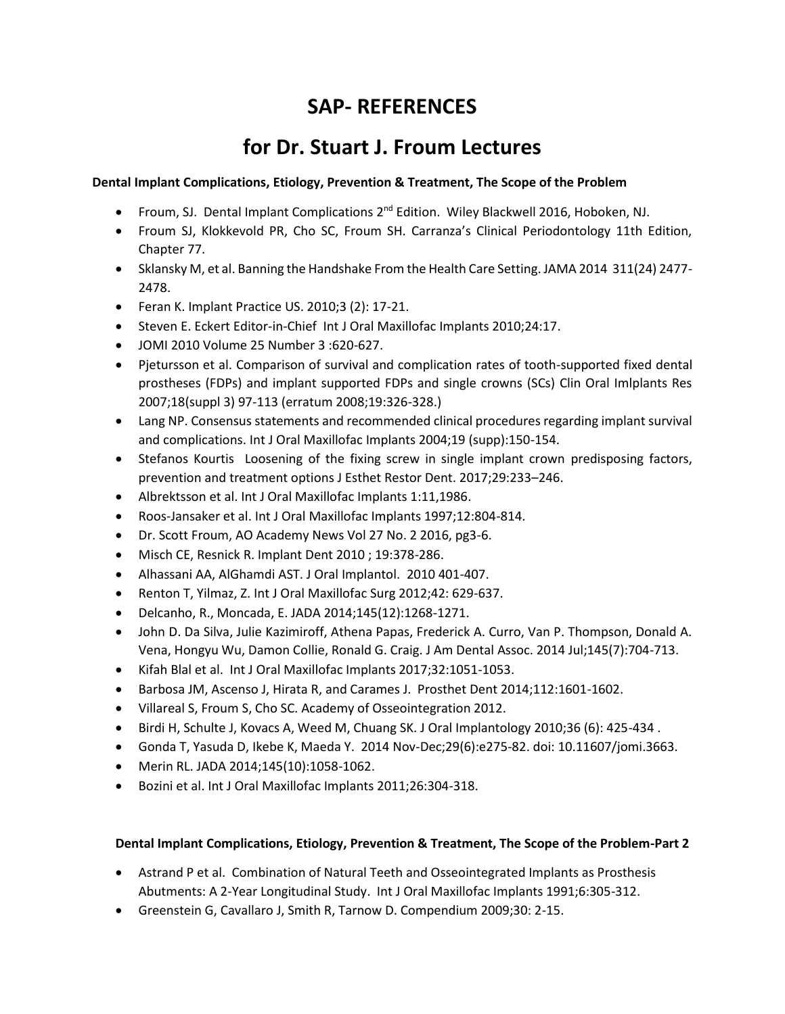# **SAP- REFERENCES**

# **for Dr. Stuart J. Froum Lectures**

### **Dental Implant Complications, Etiology, Prevention & Treatment, The Scope of the Problem**

- Froum, SJ. Dental Implant Complications 2<sup>nd</sup> Edition. Wiley Blackwell 2016, Hoboken, NJ.
- Froum SJ, Klokkevold PR, Cho SC, Froum SH. Carranza's Clinical Periodontology 11th Edition, Chapter 77.
- Sklansky M, et al. Banning the Handshake From the Health Care Setting. JAMA 2014 311(24) 2477- 2478.
- Feran K. Implant Practice US. 2010;3 (2): 17-21.
- Steven E. Eckert Editor-in-Chief Int J Oral Maxillofac Implants 2010;24:17.
- JOMI 2010 Volume 25 Number 3 :620-627.
- Pjetursson et al. Comparison of survival and complication rates of tooth-supported fixed dental prostheses (FDPs) and implant supported FDPs and single crowns (SCs) Clin Oral Imlplants Res 2007;18(suppl 3) 97-113 (erratum 2008;19:326-328.)
- Lang NP. Consensus statements and recommended clinical procedures regarding implant survival and complications. Int J Oral Maxillofac Implants 2004;19 (supp):150-154.
- Stefanos Kourtis Loosening of the fixing screw in single implant crown predisposing factors, prevention and treatment options J Esthet Restor Dent. 2017;29:233–246.
- Albrektsson et al. Int J Oral Maxillofac Implants 1:11,1986.
- Roos-Jansaker et al. Int J Oral Maxillofac Implants 1997;12:804-814.
- Dr. Scott Froum, AO Academy News Vol 27 No. 2 2016, pg3-6.
- Misch CE, Resnick R. Implant Dent 2010 ; 19:378-286.
- Alhassani AA, AlGhamdi AST. J Oral Implantol. 2010 401-407.
- Renton T, Yilmaz, Z. Int J Oral Maxillofac Surg 2012;42: 629-637.
- Delcanho, R., Moncada, E. JADA 2014;145(12):1268-1271.
- John D. Da Silva, Julie Kazimiroff, Athena Papas, Frederick A. Curro, Van P. Thompson, Donald A. Vena, Hongyu Wu, Damon Collie, Ronald G. Craig. J Am Dental Assoc. 2014 Jul;145(7):704-713.
- Kifah Blal et al. Int J Oral Maxillofac Implants 2017;32:1051-1053.
- Barbosa JM, Ascenso J, Hirata R, and Carames J. Prosthet Dent 2014;112:1601-1602.
- Villareal S, Froum S, Cho SC. Academy of Osseointegration 2012.
- Birdi H, Schulte J, Kovacs A, Weed M, Chuang SK. J Oral Implantology 2010;36 (6): 425-434 .
- Gonda T, Yasuda D, Ikebe K, Maeda Y. 2014 Nov-Dec;29(6):e275-82. doi: 10.11607/jomi.3663.
- Merin RL. JADA 2014;145(10):1058-1062.
- Bozini et al. Int J Oral Maxillofac Implants 2011;26:304-318.

### **Dental Implant Complications, Etiology, Prevention & Treatment, The Scope of the Problem-Part 2**

- Astrand P et al. Combination of Natural Teeth and Osseointegrated Implants as Prosthesis Abutments: A 2-Year Longitudinal Study. Int J Oral Maxillofac Implants 1991;6:305-312.
- Greenstein G, Cavallaro J, Smith R, Tarnow D. Compendium 2009;30: 2-15.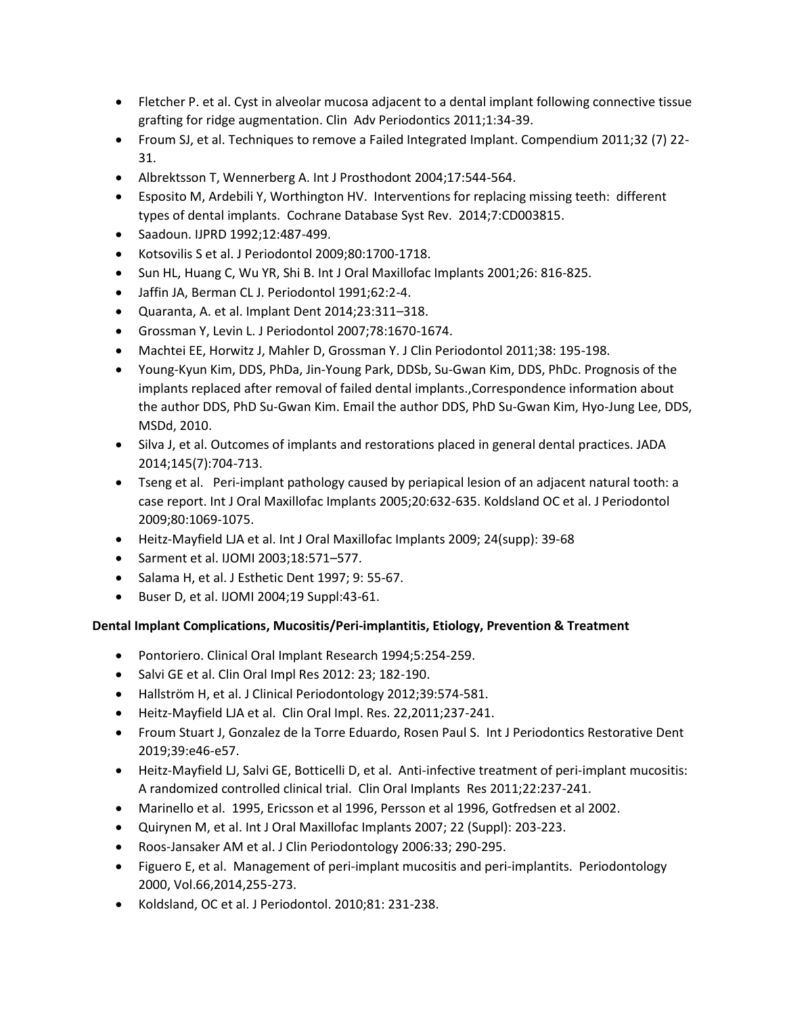- Fletcher P. et al. Cyst in alveolar mucosa adjacent to a dental implant following connective tissue grafting for ridge augmentation. Clin Adv Periodontics 2011;1:34-39.
- Froum SJ, et al. Techniques to remove a Failed Integrated Implant. Compendium 2011;32 (7) 22- 31.
- Albrektsson T, Wennerberg A. Int J Prosthodont 2004;17:544-564.
- Esposito M, Ardebili Y, Worthington HV. Interventions for replacing missing teeth: different types of dental implants. Cochrane Database Syst Rev. 2014;7:CD003815.
- Saadoun. IJPRD 1992;12:487-499.
- Kotsovilis S et al. J Periodontol 2009;80:1700-1718.
- Sun HL, Huang C, Wu YR, Shi B. Int J Oral Maxillofac Implants 2001;26: 816-825.
- Jaffin JA, Berman CL J. Periodontol 1991;62:2-4.
- Quaranta, A. et al. Implant Dent 2014;23:311–318.
- Grossman Y, Levin L. J Periodontol 2007;78:1670-1674.
- Machtei EE, Horwitz J, Mahler D, Grossman Y. J Clin Periodontol 2011;38: 195-198.
- Young-Kyun Kim, DDS, PhDa, Jin-Young Park, DDSb, Su-Gwan Kim, DDS, PhDc. Prognosis of the implants replaced after removal of failed dental implants.,Correspondence information about the author DDS, PhD Su-Gwan Kim. Email the author DDS, PhD Su-Gwan Kim, Hyo-Jung Lee, DDS, MSDd, 2010.
- Silva J, et al. Outcomes of implants and restorations placed in general dental practices. JADA 2014;145(7):704-713.
- Tseng et al. Peri-implant pathology caused by periapical lesion of an adjacent natural tooth: a case report. Int J Oral Maxillofac Implants 2005;20:632-635. Koldsland OC et al. J Periodontol 2009;80:1069-1075.
- Heitz-Mayfield LJA et al. Int J Oral Maxillofac Implants 2009; 24(supp): 39-68
- Sarment et al. IJOMI 2003;18:571–577.
- Salama H, et al. J Esthetic Dent 1997; 9: 55-67.
- Buser D, et al. IJOMI 2004;19 Suppl:43-61.

### **Dental Implant Complications, Mucositis/Peri-implantitis, Etiology, Prevention & Treatment**

- Pontoriero. Clinical Oral Implant Research 1994;5:254-259.
- Salvi GE et al. Clin Oral Impl Res 2012: 23; 182-190.
- Hallström H, et al. J Clinical Periodontology 2012;39:574-581.
- Heitz-Mayfield LJA et al. Clin Oral Impl. Res. 22,2011;237-241.
- Froum Stuart J, Gonzalez de la Torre Eduardo, Rosen Paul S. Int J Periodontics Restorative Dent 2019;39:e46-e57.
- Heitz-Mayfield LJ, Salvi GE, Botticelli D, et al. Anti-infective treatment of peri-implant mucositis: A randomized controlled clinical trial. Clin Oral Implants Res 2011;22:237-241.
- Marinello et al. 1995, Ericsson et al 1996, Persson et al 1996, Gotfredsen et al 2002.
- Quirynen M, et al. Int J Oral Maxillofac Implants 2007; 22 (Suppl): 203-223.
- Roos-Jansaker AM et al. J Clin Periodontology 2006:33; 290-295.
- Figuero E, et al. Management of peri-implant mucositis and peri-implantits. Periodontology 2000, Vol.66,2014,255-273.
- Koldsland, OC et al. J Periodontol. 2010;81: 231-238.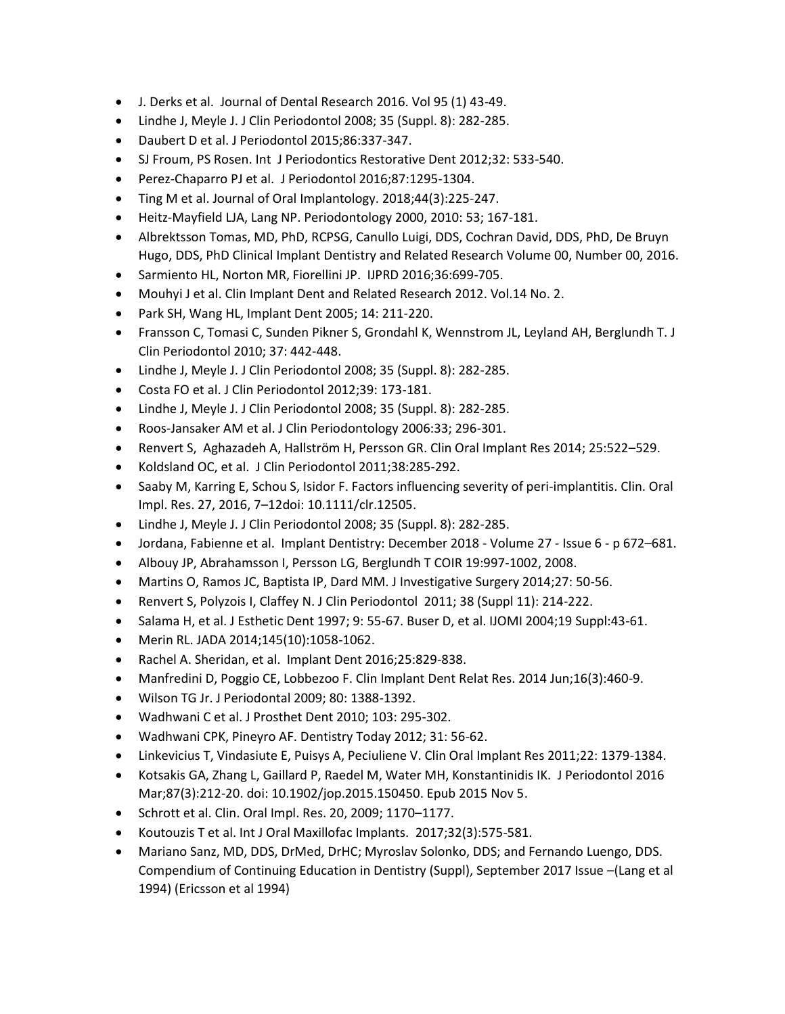- J. Derks et al. Journal of Dental Research 2016. Vol 95 (1) 43-49.
- Lindhe J, Meyle J. J Clin Periodontol 2008; 35 (Suppl. 8): 282-285.
- Daubert D et al. J Periodontol 2015;86:337-347.
- SJ Froum, PS Rosen. Int J Periodontics Restorative Dent 2012;32: 533-540.
- Perez-Chaparro PJ et al. J Periodontol 2016;87:1295-1304.
- Ting M et al. Journal of Oral Implantology. 2018;44(3):225-247.
- Heitz-Mayfield LJA, Lang NP. Periodontology 2000, 2010: 53; 167-181.
- Albrektsson Tomas, MD, PhD, RCPSG, Canullo Luigi, DDS, Cochran David, DDS, PhD, De Bruyn Hugo, DDS, PhD Clinical Implant Dentistry and Related Research Volume 00, Number 00, 2016.
- Sarmiento HL, Norton MR, Fiorellini JP. IJPRD 2016;36:699-705.
- Mouhyi J et al. Clin Implant Dent and Related Research 2012. Vol.14 No. 2.
- Park SH, Wang HL, Implant Dent 2005; 14: 211-220.
- Fransson C, Tomasi C, Sunden Pikner S, Grondahl K, Wennstrom JL, Leyland AH, Berglundh T. J Clin Periodontol 2010; 37: 442-448.
- Lindhe J, Meyle J. J Clin Periodontol 2008; 35 (Suppl. 8): 282-285.
- Costa FO et al. J Clin Periodontol 2012;39: 173-181.
- Lindhe J, Meyle J. J Clin Periodontol 2008; 35 (Suppl. 8): 282-285.
- Roos-Jansaker AM et al. J Clin Periodontology 2006:33; 296-301.
- Renvert S, Aghazadeh A, Hallström H, Persson GR. Clin Oral Implant Res 2014; 25:522–529.
- Koldsland OC, et al. J Clin Periodontol 2011;38:285-292.
- Saaby M, Karring E, Schou S, Isidor F. Factors influencing severity of peri-implantitis. Clin. Oral Impl. Res. 27, 2016, 7–12doi: 10.1111/clr.12505.
- Lindhe J, Meyle J. J Clin Periodontol 2008; 35 (Suppl. 8): 282-285.
- Jordana, Fabienne et al. Implant Dentistry: December 2018 Volume 27 Issue 6 p 672–681.
- Albouy JP, Abrahamsson I, Persson LG, Berglundh T COIR 19:997-1002, 2008.
- Martins O, Ramos JC, Baptista IP, Dard MM. J Investigative Surgery 2014;27: 50-56.
- Renvert S, Polyzois I, Claffey N. J Clin Periodontol 2011; 38 (Suppl 11): 214-222.
- Salama H, et al. J Esthetic Dent 1997; 9: 55-67. Buser D, et al. IJOMI 2004;19 Suppl:43-61.
- Merin RL. JADA 2014;145(10):1058-1062.
- Rachel A. Sheridan, et al. Implant Dent 2016;25:829-838.
- Manfredini D, Poggio CE, Lobbezoo F. Clin Implant Dent Relat Res. 2014 Jun;16(3):460-9.
- Wilson TG Jr. J Periodontal 2009; 80: 1388-1392.
- Wadhwani C et al. J Prosthet Dent 2010; 103: 295-302.
- Wadhwani CPK, Pineyro AF. Dentistry Today 2012; 31: 56-62.
- Linkevicius T, Vindasiute E, Puisys A, Peciuliene V. Clin Oral Implant Res 2011;22: 1379-1384.
- Kotsakis GA, Zhang L, Gaillard P, Raedel M, Water MH, Konstantinidis IK. J Periodontol 2016 Mar;87(3):212-20. doi: 10.1902/jop.2015.150450. Epub 2015 Nov 5.
- Schrott et al. Clin. Oral Impl. Res. 20, 2009; 1170–1177.
- Koutouzis T et al. Int J Oral Maxillofac Implants. 2017;32(3):575-581.
- Mariano Sanz, MD, DDS, DrMed, DrHC; Myroslav Solonko, DDS; and Fernando Luengo, DDS. Compendium of Continuing Education in Dentistry (Suppl), September 2017 Issue –(Lang et al 1994) (Ericsson et al 1994)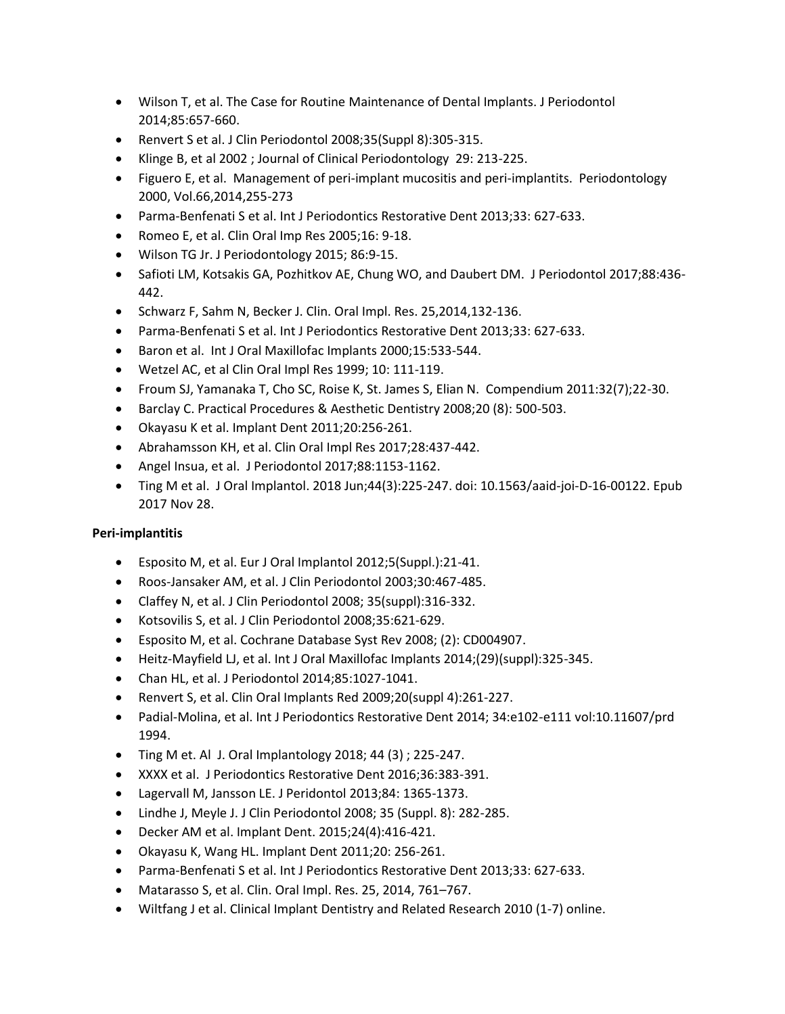- Wilson T, et al. The Case for Routine Maintenance of Dental Implants. J Periodontol 2014;85:657-660.
- Renvert S et al. J Clin Periodontol 2008;35(Suppl 8):305-315.
- Klinge B, et al 2002 ; Journal of Clinical Periodontology 29: 213-225.
- Figuero E, et al. Management of peri-implant mucositis and peri-implantits. Periodontology 2000, Vol.66,2014,255-273
- Parma-Benfenati S et al. Int J Periodontics Restorative Dent 2013;33: 627-633.
- Romeo E, et al. Clin Oral Imp Res 2005;16: 9-18.
- Wilson TG Jr. J Periodontology 2015; 86:9-15.
- Safioti LM, Kotsakis GA, Pozhitkov AE, Chung WO, and Daubert DM. J Periodontol 2017;88:436- 442.
- Schwarz F, Sahm N, Becker J. Clin. Oral Impl. Res. 25,2014,132-136.
- Parma-Benfenati S et al. Int J Periodontics Restorative Dent 2013;33: 627-633.
- Baron et al. Int J Oral Maxillofac Implants 2000;15:533-544.
- Wetzel AC, et al Clin Oral Impl Res 1999; 10: 111-119.
- Froum SJ, Yamanaka T, Cho SC, Roise K, St. James S, Elian N. Compendium 2011:32(7);22-30.
- Barclay C. Practical Procedures & Aesthetic Dentistry 2008;20 (8): 500-503.
- Okayasu K et al. Implant Dent 2011;20:256-261.
- Abrahamsson KH, et al. Clin Oral Impl Res 2017;28:437-442.
- Angel Insua, et al. J Periodontol 2017;88:1153-1162.
- Ting M et al. J Oral Implantol. 2018 Jun;44(3):225-247. doi: 10.1563/aaid-joi-D-16-00122. Epub 2017 Nov 28.

### **Peri-implantitis**

- Esposito M, et al. Eur J Oral Implantol 2012;5(Suppl.):21-41.
- Roos-Jansaker AM, et al. J Clin Periodontol 2003;30:467-485.
- Claffey N, et al. J Clin Periodontol 2008; 35(suppl):316-332.
- Kotsovilis S, et al. J Clin Periodontol 2008;35:621-629.
- Esposito M, et al. Cochrane Database Syst Rev 2008; (2): CD004907.
- Heitz-Mayfield LJ, et al. Int J Oral Maxillofac Implants 2014;(29)(suppl):325-345.
- Chan HL, et al. J Periodontol 2014;85:1027-1041.
- Renvert S, et al. Clin Oral Implants Red 2009;20(suppl 4):261-227.
- Padial-Molina, et al. Int J Periodontics Restorative Dent 2014; 34:e102-e111 vol:10.11607/prd 1994.
- Ting M et. Al J. Oral Implantology 2018; 44  $(3)$ ; 225-247.
- XXXX et al. J Periodontics Restorative Dent 2016;36:383-391.
- Lagervall M, Jansson LE. J Peridontol 2013;84: 1365-1373.
- Lindhe J, Meyle J. J Clin Periodontol 2008; 35 (Suppl. 8): 282-285.
- Decker AM et al. Implant Dent. 2015;24(4):416-421.
- Okayasu K, Wang HL. Implant Dent 2011;20: 256-261.
- Parma-Benfenati S et al. Int J Periodontics Restorative Dent 2013;33: 627-633.
- Matarasso S, et al. Clin. Oral Impl. Res. 25, 2014, 761–767.
- Wiltfang J et al. Clinical Implant Dentistry and Related Research 2010 (1-7) online.